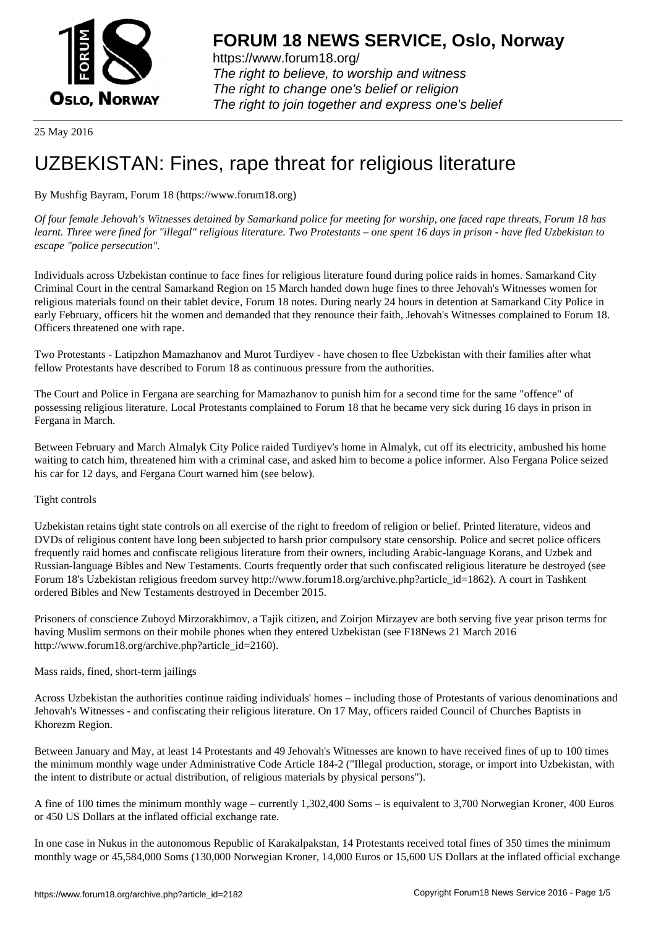

https://www.forum18.org/ The right to believe, to worship and witness The right to change one's belief or religion [The right to join together a](https://www.forum18.org/)nd express one's belief

25 May 2016

# [UZBEKISTAN:](https://www.forum18.org) Fines, rape threat for religious literature

## By Mushfig Bayram, Forum 18 (https://www.forum18.org)

*Of four female Jehovah's Witnesses detained by Samarkand police for meeting for worship, one faced rape threats, Forum 18 has learnt. Three were fined for "illegal" religious literature. Two Protestants – one spent 16 days in prison - have fled Uzbekistan to escape "police persecution".*

Individuals across Uzbekistan continue to face fines for religious literature found during police raids in homes. Samarkand City Criminal Court in the central Samarkand Region on 15 March handed down huge fines to three Jehovah's Witnesses women for religious materials found on their tablet device, Forum 18 notes. During nearly 24 hours in detention at Samarkand City Police in early February, officers hit the women and demanded that they renounce their faith, Jehovah's Witnesses complained to Forum 18. Officers threatened one with rape.

Two Protestants - Latipzhon Mamazhanov and Murot Turdiyev - have chosen to flee Uzbekistan with their families after what fellow Protestants have described to Forum 18 as continuous pressure from the authorities.

The Court and Police in Fergana are searching for Mamazhanov to punish him for a second time for the same "offence" of possessing religious literature. Local Protestants complained to Forum 18 that he became very sick during 16 days in prison in Fergana in March.

Between February and March Almalyk City Police raided Turdiyev's home in Almalyk, cut off its electricity, ambushed his home waiting to catch him, threatened him with a criminal case, and asked him to become a police informer. Also Fergana Police seized his car for 12 days, and Fergana Court warned him (see below).

### Tight controls

Uzbekistan retains tight state controls on all exercise of the right to freedom of religion or belief. Printed literature, videos and DVDs of religious content have long been subjected to harsh prior compulsory state censorship. Police and secret police officers frequently raid homes and confiscate religious literature from their owners, including Arabic-language Korans, and Uzbek and Russian-language Bibles and New Testaments. Courts frequently order that such confiscated religious literature be destroyed (see Forum 18's Uzbekistan religious freedom survey http://www.forum18.org/archive.php?article\_id=1862). A court in Tashkent ordered Bibles and New Testaments destroyed in December 2015.

Prisoners of conscience Zuboyd Mirzorakhimov, a Tajik citizen, and Zoirjon Mirzayev are both serving five year prison terms for having Muslim sermons on their mobile phones when they entered Uzbekistan (see F18News 21 March 2016 http://www.forum18.org/archive.php?article\_id=2160).

### Mass raids, fined, short-term jailings

Across Uzbekistan the authorities continue raiding individuals' homes – including those of Protestants of various denominations and Jehovah's Witnesses - and confiscating their religious literature. On 17 May, officers raided Council of Churches Baptists in Khorezm Region.

Between January and May, at least 14 Protestants and 49 Jehovah's Witnesses are known to have received fines of up to 100 times the minimum monthly wage under Administrative Code Article 184-2 ("Illegal production, storage, or import into Uzbekistan, with the intent to distribute or actual distribution, of religious materials by physical persons").

A fine of 100 times the minimum monthly wage – currently 1,302,400 Soms – is equivalent to 3,700 Norwegian Kroner, 400 Euros or 450 US Dollars at the inflated official exchange rate.

In one case in Nukus in the autonomous Republic of Karakalpakstan, 14 Protestants received total fines of 350 times the minimum monthly wage or 45,584,000 Soms (130,000 Norwegian Kroner, 14,000 Euros or 15,600 US Dollars at the inflated official exchange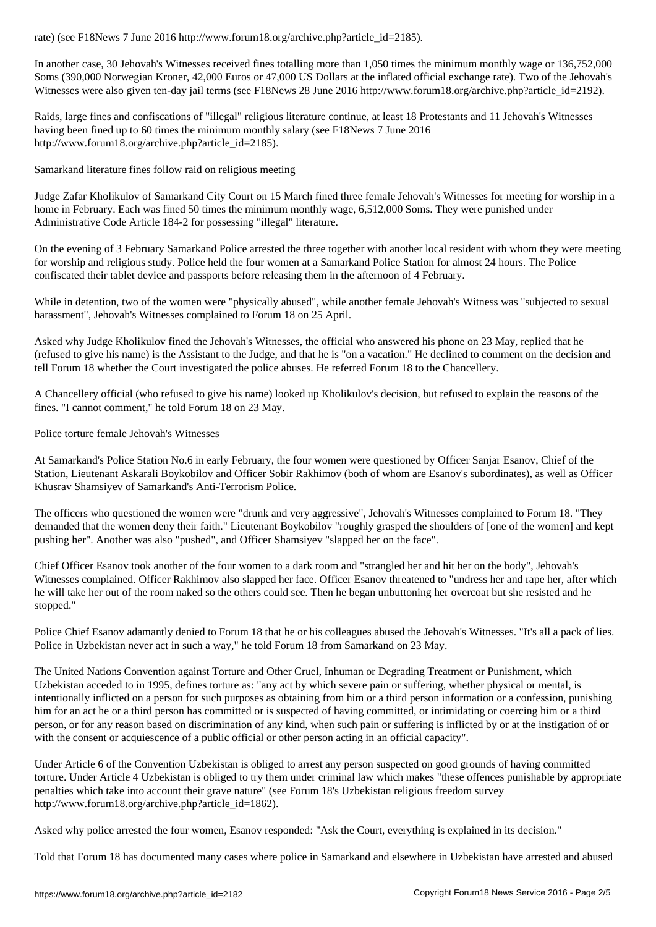In another case, 30 Jehovah's Witnesses received fines totalling more than 1,050 times the minimum monthly wage or 136,752,000 Soms (390,000 Norwegian Kroner, 42,000 Euros or 47,000 US Dollars at the inflated official exchange rate). Two of the Jehovah's Witnesses were also given ten-day jail terms (see F18News 28 June 2016 http://www.forum18.org/archive.php?article\_id=2192).

Raids, large fines and confiscations of "illegal" religious literature continue, at least 18 Protestants and 11 Jehovah's Witnesses having been fined up to 60 times the minimum monthly salary (see F18News 7 June 2016 http://www.forum18.org/archive.php?article\_id=2185).

Samarkand literature fines follow raid on religious meeting

Judge Zafar Kholikulov of Samarkand City Court on 15 March fined three female Jehovah's Witnesses for meeting for worship in a home in February. Each was fined 50 times the minimum monthly wage, 6,512,000 Soms. They were punished under Administrative Code Article 184-2 for possessing "illegal" literature.

On the evening of 3 February Samarkand Police arrested the three together with another local resident with whom they were meeting for worship and religious study. Police held the four women at a Samarkand Police Station for almost 24 hours. The Police confiscated their tablet device and passports before releasing them in the afternoon of 4 February.

While in detention, two of the women were "physically abused", while another female Jehovah's Witness was "subjected to sexual harassment", Jehovah's Witnesses complained to Forum 18 on 25 April.

Asked why Judge Kholikulov fined the Jehovah's Witnesses, the official who answered his phone on 23 May, replied that he (refused to give his name) is the Assistant to the Judge, and that he is "on a vacation." He declined to comment on the decision and tell Forum 18 whether the Court investigated the police abuses. He referred Forum 18 to the Chancellery.

A Chancellery official (who refused to give his name) looked up Kholikulov's decision, but refused to explain the reasons of the fines. "I cannot comment," he told Forum 18 on 23 May.

Police torture female Jehovah's Witnesses

At Samarkand's Police Station No.6 in early February, the four women were questioned by Officer Sanjar Esanov, Chief of the Station, Lieutenant Askarali Boykobilov and Officer Sobir Rakhimov (both of whom are Esanov's subordinates), as well as Officer Khusrav Shamsiyev of Samarkand's Anti-Terrorism Police.

The officers who questioned the women were "drunk and very aggressive", Jehovah's Witnesses complained to Forum 18. "They demanded that the women deny their faith." Lieutenant Boykobilov "roughly grasped the shoulders of [one of the women] and kept pushing her". Another was also "pushed", and Officer Shamsiyev "slapped her on the face".

Chief Officer Esanov took another of the four women to a dark room and "strangled her and hit her on the body", Jehovah's Witnesses complained. Officer Rakhimov also slapped her face. Officer Esanov threatened to "undress her and rape her, after which he will take her out of the room naked so the others could see. Then he began unbuttoning her overcoat but she resisted and he stopped."

Police Chief Esanov adamantly denied to Forum 18 that he or his colleagues abused the Jehovah's Witnesses. "It's all a pack of lies. Police in Uzbekistan never act in such a way," he told Forum 18 from Samarkand on 23 May.

The United Nations Convention against Torture and Other Cruel, Inhuman or Degrading Treatment or Punishment, which Uzbekistan acceded to in 1995, defines torture as: "any act by which severe pain or suffering, whether physical or mental, is intentionally inflicted on a person for such purposes as obtaining from him or a third person information or a confession, punishing him for an act he or a third person has committed or is suspected of having committed, or intimidating or coercing him or a third person, or for any reason based on discrimination of any kind, when such pain or suffering is inflicted by or at the instigation of or with the consent or acquiescence of a public official or other person acting in an official capacity".

Under Article 6 of the Convention Uzbekistan is obliged to arrest any person suspected on good grounds of having committed torture. Under Article 4 Uzbekistan is obliged to try them under criminal law which makes "these offences punishable by appropriate penalties which take into account their grave nature" (see Forum 18's Uzbekistan religious freedom survey http://www.forum18.org/archive.php?article\_id=1862).

Asked why police arrested the four women, Esanov responded: "Ask the Court, everything is explained in its decision."

Told that Forum 18 has documented many cases where police in Samarkand and elsewhere in Uzbekistan have arrested and abused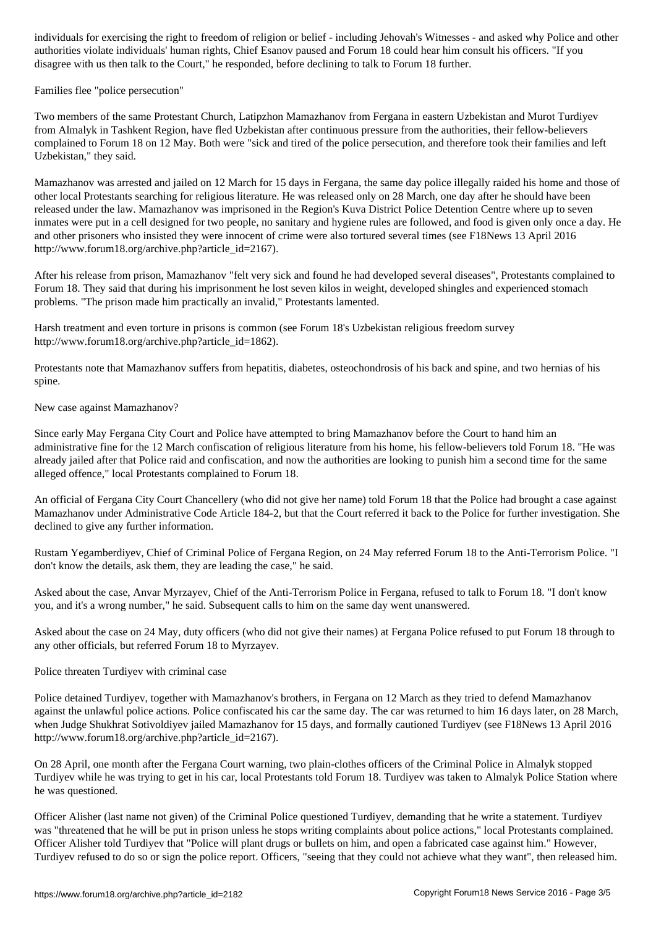authorities violate individuals individuals  $\Gamma$  Esanov paused and Forum 18 could hear him consult him consult him consult him consult him consult him consult him consult him consult him consult him consult him consult hi disagree with us then talk to the Court," he responded, before declining to talk to Forum 18 further.

Families flee "police persecution"

Two members of the same Protestant Church, Latipzhon Mamazhanov from Fergana in eastern Uzbekistan and Murot Turdiyev from Almalyk in Tashkent Region, have fled Uzbekistan after continuous pressure from the authorities, their fellow-believers complained to Forum 18 on 12 May. Both were "sick and tired of the police persecution, and therefore took their families and left Uzbekistan," they said.

Mamazhanov was arrested and jailed on 12 March for 15 days in Fergana, the same day police illegally raided his home and those of other local Protestants searching for religious literature. He was released only on 28 March, one day after he should have been released under the law. Mamazhanov was imprisoned in the Region's Kuva District Police Detention Centre where up to seven inmates were put in a cell designed for two people, no sanitary and hygiene rules are followed, and food is given only once a day. He and other prisoners who insisted they were innocent of crime were also tortured several times (see F18News 13 April 2016 http://www.forum18.org/archive.php?article\_id=2167).

After his release from prison, Mamazhanov "felt very sick and found he had developed several diseases", Protestants complained to Forum 18. They said that during his imprisonment he lost seven kilos in weight, developed shingles and experienced stomach problems. "The prison made him practically an invalid," Protestants lamented.

Harsh treatment and even torture in prisons is common (see Forum 18's Uzbekistan religious freedom survey http://www.forum18.org/archive.php?article\_id=1862).

Protestants note that Mamazhanov suffers from hepatitis, diabetes, osteochondrosis of his back and spine, and two hernias of his spine.

New case against Mamazhanov?

Since early May Fergana City Court and Police have attempted to bring Mamazhanov before the Court to hand him an administrative fine for the 12 March confiscation of religious literature from his home, his fellow-believers told Forum 18. "He was already jailed after that Police raid and confiscation, and now the authorities are looking to punish him a second time for the same alleged offence," local Protestants complained to Forum 18.

An official of Fergana City Court Chancellery (who did not give her name) told Forum 18 that the Police had brought a case against Mamazhanov under Administrative Code Article 184-2, but that the Court referred it back to the Police for further investigation. She declined to give any further information.

Rustam Yegamberdiyev, Chief of Criminal Police of Fergana Region, on 24 May referred Forum 18 to the Anti-Terrorism Police. "I don't know the details, ask them, they are leading the case," he said.

Asked about the case, Anvar Myrzayev, Chief of the Anti-Terrorism Police in Fergana, refused to talk to Forum 18. "I don't know you, and it's a wrong number," he said. Subsequent calls to him on the same day went unanswered.

Asked about the case on 24 May, duty officers (who did not give their names) at Fergana Police refused to put Forum 18 through to any other officials, but referred Forum 18 to Myrzayev.

Police threaten Turdiyev with criminal case

Police detained Turdiyev, together with Mamazhanov's brothers, in Fergana on 12 March as they tried to defend Mamazhanov against the unlawful police actions. Police confiscated his car the same day. The car was returned to him 16 days later, on 28 March, when Judge Shukhrat Sotivoldiyev jailed Mamazhanov for 15 days, and formally cautioned Turdiyev (see F18News 13 April 2016 http://www.forum18.org/archive.php?article\_id=2167).

On 28 April, one month after the Fergana Court warning, two plain-clothes officers of the Criminal Police in Almalyk stopped Turdiyev while he was trying to get in his car, local Protestants told Forum 18. Turdiyev was taken to Almalyk Police Station where he was questioned.

Officer Alisher (last name not given) of the Criminal Police questioned Turdiyev, demanding that he write a statement. Turdiyev was "threatened that he will be put in prison unless he stops writing complaints about police actions," local Protestants complained. Officer Alisher told Turdiyev that "Police will plant drugs or bullets on him, and open a fabricated case against him." However, Turdiyev refused to do so or sign the police report. Officers, "seeing that they could not achieve what they want", then released him.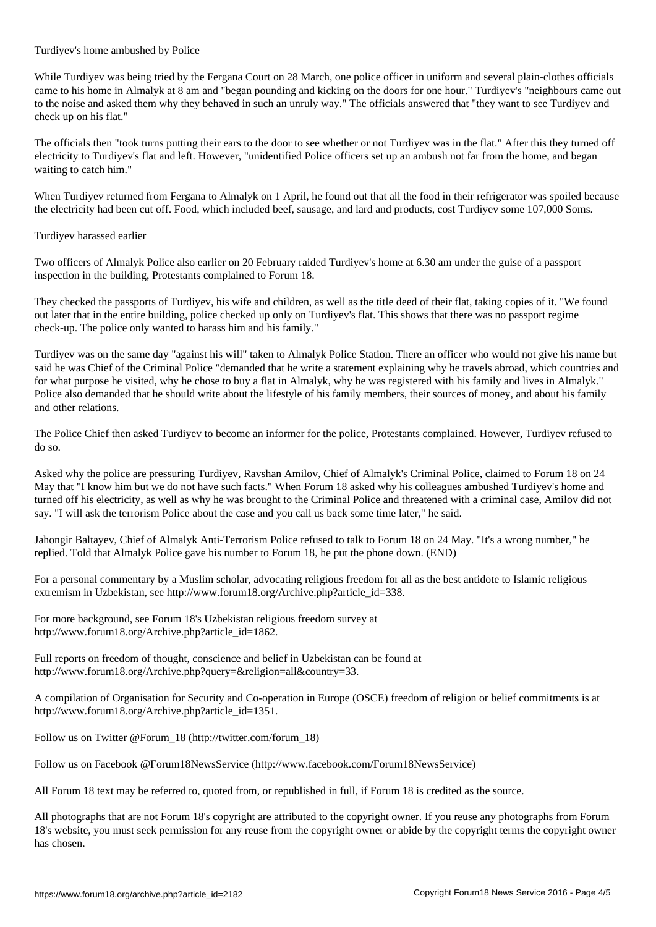Turdiyev's home ambushed by Police

While Turdiyev was being tried by the Fergana Court on 28 March, one police officer in uniform and several plain-clothes officials came to his home in Almalyk at 8 am and "began pounding and kicking on the doors for one hour." Turdiyev's "neighbours came out to the noise and asked them why they behaved in such an unruly way." The officials answered that "they want to see Turdiyev and check up on his flat."

The officials then "took turns putting their ears to the door to see whether or not Turdiyev was in the flat." After this they turned off electricity to Turdiyev's flat and left. However, "unidentified Police officers set up an ambush not far from the home, and began waiting to catch him."

When Turdiyev returned from Fergana to Almalyk on 1 April, he found out that all the food in their refrigerator was spoiled because the electricity had been cut off. Food, which included beef, sausage, and lard and products, cost Turdiyev some 107,000 Soms.

### Turdiyev harassed earlier

Two officers of Almalyk Police also earlier on 20 February raided Turdiyev's home at 6.30 am under the guise of a passport inspection in the building, Protestants complained to Forum 18.

They checked the passports of Turdiyev, his wife and children, as well as the title deed of their flat, taking copies of it. "We found out later that in the entire building, police checked up only on Turdiyev's flat. This shows that there was no passport regime check-up. The police only wanted to harass him and his family."

Turdiyev was on the same day "against his will" taken to Almalyk Police Station. There an officer who would not give his name but said he was Chief of the Criminal Police "demanded that he write a statement explaining why he travels abroad, which countries and for what purpose he visited, why he chose to buy a flat in Almalyk, why he was registered with his family and lives in Almalyk." Police also demanded that he should write about the lifestyle of his family members, their sources of money, and about his family and other relations.

The Police Chief then asked Turdiyev to become an informer for the police, Protestants complained. However, Turdiyev refused to do so.

Asked why the police are pressuring Turdiyev, Ravshan Amilov, Chief of Almalyk's Criminal Police, claimed to Forum 18 on 24 May that "I know him but we do not have such facts." When Forum 18 asked why his colleagues ambushed Turdiyev's home and turned off his electricity, as well as why he was brought to the Criminal Police and threatened with a criminal case, Amilov did not say. "I will ask the terrorism Police about the case and you call us back some time later," he said.

Jahongir Baltayev, Chief of Almalyk Anti-Terrorism Police refused to talk to Forum 18 on 24 May. "It's a wrong number," he replied. Told that Almalyk Police gave his number to Forum 18, he put the phone down. (END)

For a personal commentary by a Muslim scholar, advocating religious freedom for all as the best antidote to Islamic religious extremism in Uzbekistan, see http://www.forum18.org/Archive.php?article\_id=338.

For more background, see Forum 18's Uzbekistan religious freedom survey at http://www.forum18.org/Archive.php?article\_id=1862.

Full reports on freedom of thought, conscience and belief in Uzbekistan can be found at http://www.forum18.org/Archive.php?query=&religion=all&country=33.

A compilation of Organisation for Security and Co-operation in Europe (OSCE) freedom of religion or belief commitments is at http://www.forum18.org/Archive.php?article\_id=1351.

Follow us on Twitter @Forum\_18 (http://twitter.com/forum\_18)

Follow us on Facebook @Forum18NewsService (http://www.facebook.com/Forum18NewsService)

All Forum 18 text may be referred to, quoted from, or republished in full, if Forum 18 is credited as the source.

All photographs that are not Forum 18's copyright are attributed to the copyright owner. If you reuse any photographs from Forum 18's website, you must seek permission for any reuse from the copyright owner or abide by the copyright terms the copyright owner has chosen.